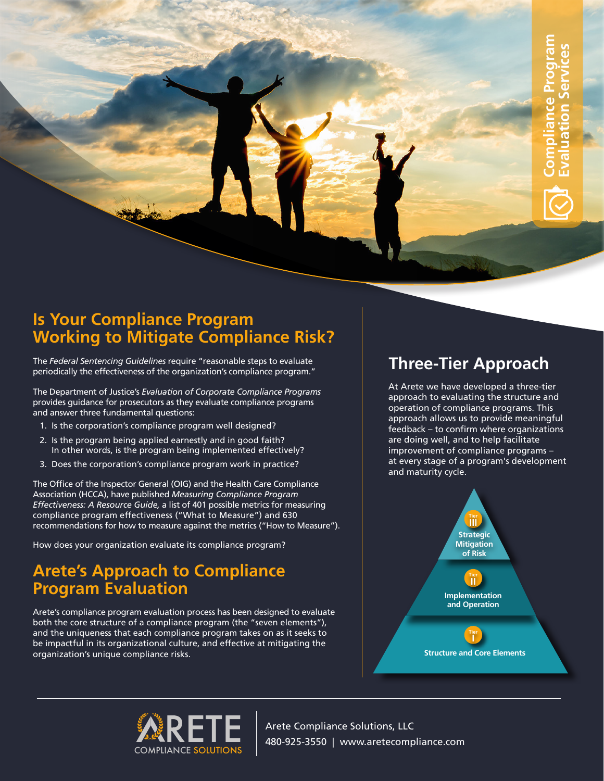### **Is Your Compliance Program Working to Mitigate Compliance Risk?**

The *Federal Sentencing Guidelines* require "reasonable steps to evaluate periodically the effectiveness of the organization's compliance program."

The Department of Justice's *Evaluation of Corporate Compliance Programs* provides guidance for prosecutors as they evaluate compliance programs and answer three fundamental questions:

- 1. Is the corporation's compliance program well designed?
- 2. Is the program being applied earnestly and in good faith? In other words, is the program being implemented effectively?
- 3. Does the corporation's compliance program work in practice?

The Office of the Inspector General (OIG) and the Health Care Compliance Association (HCCA), have published *Measuring Compliance Program Effectiveness: A Resource Guide,* a list of 401 possible metrics for measuring compliance program effectiveness ("What to Measure") and 630 recommendations for how to measure against the metrics ("How to Measure").

How does your organization evaluate its compliance program?

# **Arete's Approach to Compliance Program Evaluation**

Arete's compliance program evaluation process has been designed to evaluate both the core structure of a compliance program (the "seven elements"), and the uniqueness that each compliance program takes on as it seeks to be impactful in its organizational culture, and effective at mitigating the organization's unique compliance risks.

## **Three-Tier Approach**

At Arete we have developed a three-tier approach to evaluating the structure and operation of compliance programs. This approach allows us to provide meaningful feedback – to confirm where organizations are doing well, and to help facilitate improvement of compliance programs – at every stage of a program's development and maturity cycle.